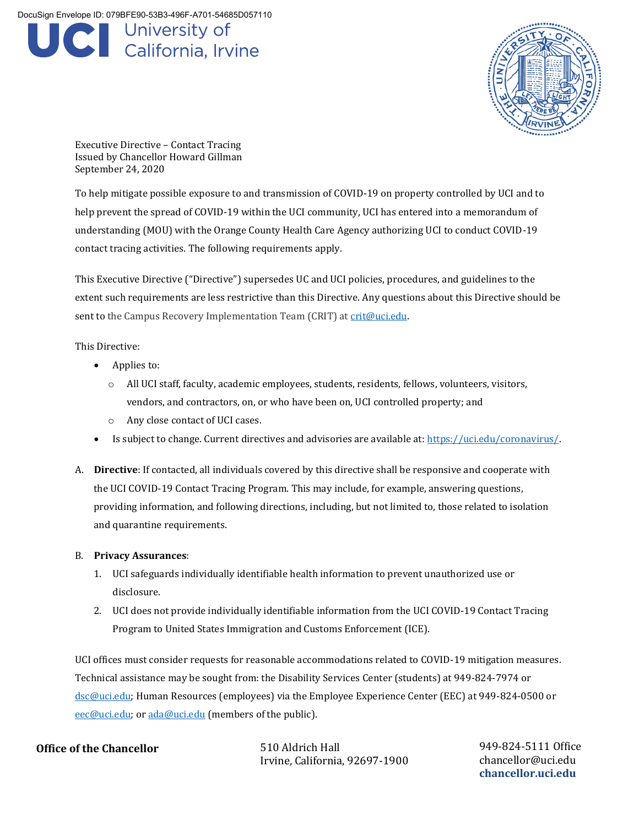DocuSign Envelope ID: 079BFE90-53B3-496F-A701-54685D057110

## **C** University of<br>California, Irvine



Executive Directive – Contact Tracing Issued by Chancellor Howard Gillman September 24, 2020

To help mitigate possible exposure to and transmission of COVID-19 on property controlled by UCI and to help prevent the spread of COVID-19 within the UCI community, UCI has entered into a memorandum of understanding (MOU) with the Orange County Health Care Agency authorizing UCI to conduct COVID-19 contact tracing activities. The following requirements apply.

This Executive Directive ("Directive") supersedes UC and UCI policies, procedures, and guidelines to the extent such requirements are less restrictive than this Directive. Any questions about this Directive should be sent to the Campus Recovery Implementation Team (CRIT) at [crit@uci.edu.](mailto:crit@uci.edu)

This Directive:

- Applies to:
	- o All UCI staff, faculty, academic employees, students, residents, fellows, volunteers, visitors, vendors, and contractors, on, or who have been on, UCI controlled property; and
	- o Any close contact of UCI cases.
- Is subject to change. Current directives and advisories are available at[: https://uci.edu/coronavirus/.](https://uci.edu/coronavirus/)
- A. **Directive**: If contacted, all individuals covered by this directive shall be responsive and cooperate with the UCI COVID-19 Contact Tracing Program. This may include, for example, answering questions, providing information, and following directions, including, but not limited to, those related to isolation and quarantine requirements.

## B. **Privacy Assurances**:

- 1. UCI safeguards individually identifiable health information to prevent unauthorized use or disclosure.
- 2. UCI does not provide individually identifiable information from the UCI COVID-19 Contact Tracing Program to United States Immigration and Customs Enforcement (ICE).

UCI offices must consider requests for reasonable accommodations related to COVID-19 mitigation measures. Technical assistance may be sought from: the Disability Services Center (students) at 949-824-7974 or [dsc@uci.edu;](mailto:dsc@uci.edu) Human Resources (employees) via the Employee Experience Center (EEC) at 949-824-0500 or [eec@uci.edu;](mailto:eec@uci.edu) or [ada@uci.edu](mailto:ada@uci.edu) (members of the public).

## **Office of the Chancellor**

510 Aldrich Hall Irvine, California, 92697-1900 949-824-5111 Office chancellor@uci.edu **chancellor.uci.edu**